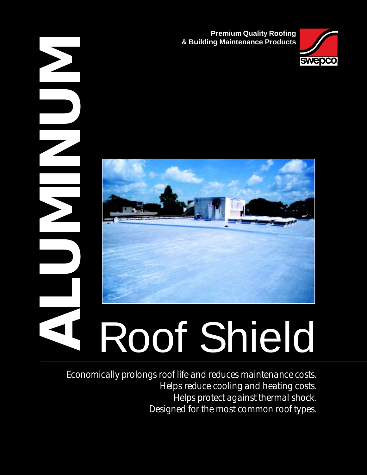**Premium Quality Roofing & Building Maintenance Products**





*Economically prolongs roof life and reduces maintenance costs. Helps reduce cooling and heating costs. Helps protect against thermal shock. Designed for the most common roof types.*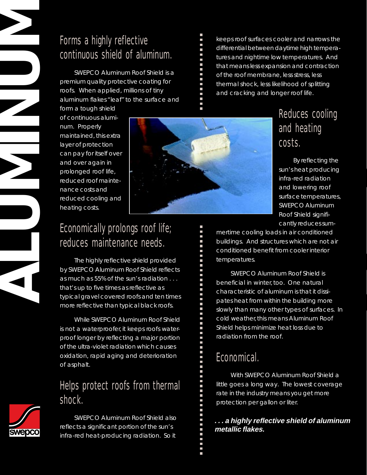# Forms a highly reflective continuous shield of aluminum.

SWEPCO Aluminum Roof Shield is a premium quality protective coating for roofs. When applied, millions of tiny aluminum flakes "leaf" to the surface and

form a tough shield of continuous aluminum. Properly maintained, this extra layer of protection can pay for itself over and over again in prolonged roof life, reduced roof maintenance costs and reduced cooling and heating costs.



# Economically prolongs roof life; reduces maintenance needs.

The highly reflective shield provided by SWEPCO Aluminum Roof Shield reflects as much as 55% of the sun's radiation . . . that's up to five times as reflective as typical gravel covered roofs and ten times more reflective than typical black roofs.

While SWEPCO Aluminum Roof Shield is not a waterproofer, it keeps roofs waterproof longer by reflecting a major portion of the ultra-violet radiation which causes oxidation, rapid aging and deterioration of asphalt.

# Helps protect roofs from thermal shock.



**ALUMINUM** 

SWEPCO Aluminum Roof Shield also reflects a significant portion of the sun's infra-red heat-producing radiation. So it

keeps roof surfaces cooler and narrows the differential between daytime high temperatures and nightime low temperatures. And that means less expansion and contraction of the roof membrane, less stress, less thermal shock, less likelihood of splitting and cracking and longer roof life.

# Reduces cooling and heating costs.

By reflecting the sun's heat producing infra-red radiation and lowering roof surface temperatures, SWEPCO Aluminum Roof Shield significantly reduces sum-

mertime cooling loads in air conditioned buildings. And structures which are not air conditioned benefit from cooler interior temperatures.

SWEPCO Aluminum Roof Shield is beneficial in winter, too. One natural characteristic of aluminum is that it dissipates heat from within the building more slowly than many other types of surfaces. In cold weather, this means Aluminum Roof Shield helps minimize heat loss due to radiation from the roof.

# Economical.

With SWEPCO Aluminum Roof Shield a little goes a long way. The lowest coverage rate in the industry means you get more protection per gallon or liter.

#### **. . . a highly reflective shield of aluminum metallic flakes.**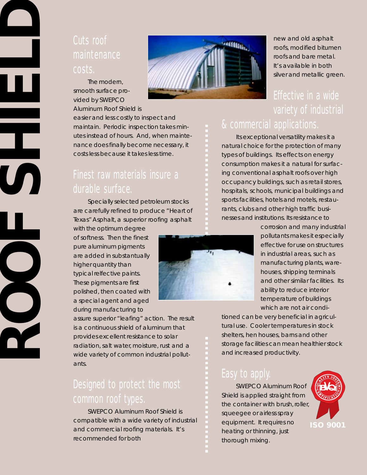## Cuts roof maintenance costs.

The modern, smooth surface provided by SWEPCO Aluminum Roof Shield is

easier and less costly to inspect and maintain. Periodic inspection takes minutes instead of hours. And, when maintenance does finally become necessary, it costs less because it takes less time.

## Finest raw materials insure a durable surface.

Specially selected petroleum stocks are carefully refined to produce "Heart of Texas" Asphalt, a superior roofing asphalt

with the optimum degree of softness. Then the finest pure aluminum pigments are added in substantually higher quantity than typical relfective paints. These pigments are first polished, then coated with a special agent and aged during manufacturing to

**ROOF** 

**SHIELD**

assure superior "leafing" action. The result is a continuous shield of aluminum that provides excellent resistance to solar radiation, salt water, moisture, rust and a wide variety of common industrial pollutants.

# Designed to protect the most common roof types.

SWEPCO Aluminum Roof Shield is compatible with a wide variety of industrial and commercial roofing materials. It's recommended for both



new and old asphalt roofs, modified bitumen roofs and bare metal. It's available in both silver and metallic green.

# Effective in a wide variety of industrial & commercial applications.

Its exceptional versatility makes it a natural choice for the protection of many types of buildings. Its effects on energy consumption makes it a natural for surfacing conventional asphalt roofs over high occupancy buildings, such as retail stores, hospitals, schools, municipal buildings and sports facilities, hotels and motels, restaurants, clubs and other high traffic businesses and institutions. Its resistance to

> corrosion and many industrial pollutants makes it especially effective for use on structures in industrial areas, such as manufacturing plants, warehouses, shipping terminals and other similar facilities. Its ability to reduce interior temperature of buildings which are not air condi-

tioned can be very beneficial in agricultural use. Cooler temperatures in stock shelters, hen houses, barns and other storage facilities can mean healthier stock and increased productivity.

### Easy to apply.

SWEPCO Aluminum Roof Shield is applied straight from the container with brush, roller, squeegee or airless spray equipment. It requires no heating or thinning, just thorough mixing.